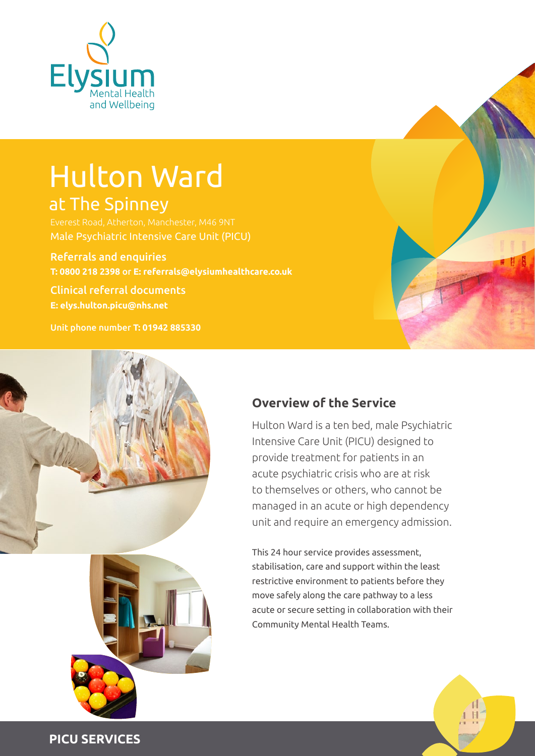

# Hulton Ward at The Spinney

Referrals and enquiries

**T: 0800 218 2398** or **E: referrals@elysiumhealthcare.co.uk**

Clinical referral documents **E: elys.hulton.picu@nhs.net** 

Unit phone number **T: 01942 885330**





## **Overview of the Service**

Hulton Ward is a ten bed, male Psychiatric Intensive Care Unit (PICU) designed to provide treatment for patients in an acute psychiatric crisis who are at risk to themselves or others, who cannot be managed in an acute or high dependency unit and require an emergency admission.

This 24 hour service provides assessment, stabilisation, care and support within the least restrictive environment to patients before they move safely along the care pathway to a less acute or secure setting in collaboration with their Community Mental Health Teams.